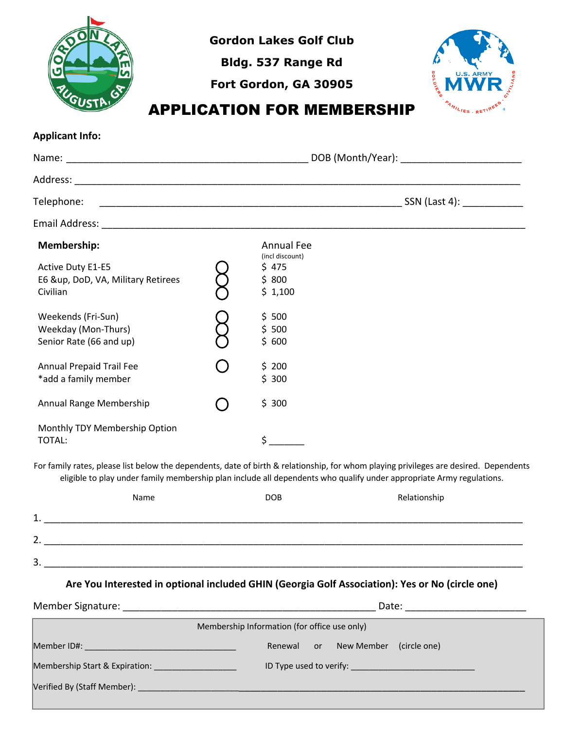

**Gordon Lakes Golf Club**

**Bldg. 537 Range Rd**

**Fort Gordon, GA 30905**



## APPLICATION FOR MEMBERSHIP

**Applicant Info:**

| Telephone:                                                                                |  |                                                                    |                                                                                                                                       |
|-------------------------------------------------------------------------------------------|--|--------------------------------------------------------------------|---------------------------------------------------------------------------------------------------------------------------------------|
|                                                                                           |  |                                                                    |                                                                                                                                       |
| Membership:<br><b>Active Duty E1-E5</b><br>E6 &up, DoD, VA, Military Retirees<br>Civilian |  | <b>Annual Fee</b><br>(incl discount)<br>\$ 475<br>\$800<br>\$1,100 |                                                                                                                                       |
| Weekends (Fri-Sun)<br>Weekday (Mon-Thurs)<br>Senior Rate (66 and up)                      |  | \$500<br>\$500<br>\$600                                            |                                                                                                                                       |
| Annual Prepaid Trail Fee<br>*add a family member                                          |  | \$200<br>\$300                                                     |                                                                                                                                       |
| Annual Range Membership                                                                   |  | \$300                                                              |                                                                                                                                       |
| Monthly TDY Membership Option<br>TOTAL:                                                   |  | \$                                                                 |                                                                                                                                       |
|                                                                                           |  |                                                                    | For family rates, please list below the dependents, date of birth & relationship, for whom playing privileges are desired. Dependents |

For family rates, please list below the dependents, date of birth & relationship, for whom playing privileges are desired. Dependents eligible to play under family membership plan include all dependents who qualify under appropriate Army regulations.

|         | Name | <b>DOB</b> | Relationship |
|---------|------|------------|--------------|
| 1<br>ᆂ. |      |            |              |
| 2.      |      |            |              |
| 3.      |      |            |              |
|         |      |            |              |

**Are You Interested in optional included GHIN (Georgia Golf Association): Yes or No (circle one)**

|                                                                                                                                                                                                                                | Date:                                    |  |  |  |
|--------------------------------------------------------------------------------------------------------------------------------------------------------------------------------------------------------------------------------|------------------------------------------|--|--|--|
| Membership Information (for office use only)                                                                                                                                                                                   |                                          |  |  |  |
| Member ID#: New York Product in the Member ID #:                                                                                                                                                                               | New Member<br>(circle one)<br>Renewal or |  |  |  |
| Membership Start & Expiration: Network and the state of the state of the state of the state of the state of the                                                                                                                |                                          |  |  |  |
| Verified By (Staff Member): Note that the contract of the contract of the contract of the contract of the contract of the contract of the contract of the contract of the contract of the contract of the contract of the cont |                                          |  |  |  |
|                                                                                                                                                                                                                                |                                          |  |  |  |